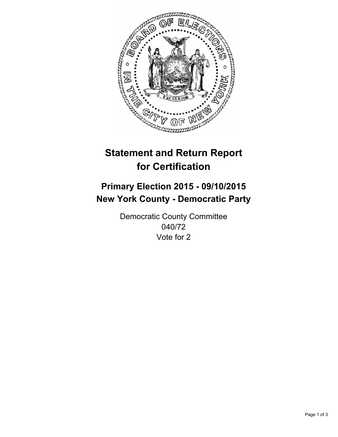

# **Statement and Return Report for Certification**

## **Primary Election 2015 - 09/10/2015 New York County - Democratic Party**

Democratic County Committee 040/72 Vote for 2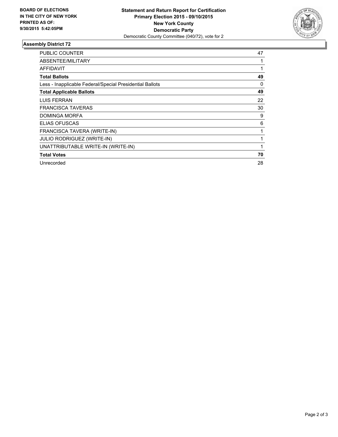

#### **Assembly District 72**

| PUBLIC COUNTER                                           | 47 |
|----------------------------------------------------------|----|
| ABSENTEE/MILITARY                                        |    |
| AFFIDAVIT                                                |    |
| <b>Total Ballots</b>                                     | 49 |
| Less - Inapplicable Federal/Special Presidential Ballots | 0  |
| <b>Total Applicable Ballots</b>                          | 49 |
| LUIS FERRAN                                              | 22 |
| <b>FRANCISCA TAVERAS</b>                                 | 30 |
| DOMINGA MORFA                                            | 9  |
| <b>ELIAS OFUSCAS</b>                                     | 6  |
| FRANCISCA TAVERA (WRITE-IN)                              | 1  |
| <b>JULIO RODRIGUEZ (WRITE-IN)</b>                        |    |
| UNATTRIBUTABLE WRITE-IN (WRITE-IN)                       | 1  |
| <b>Total Votes</b>                                       | 70 |
| Unrecorded                                               | 28 |